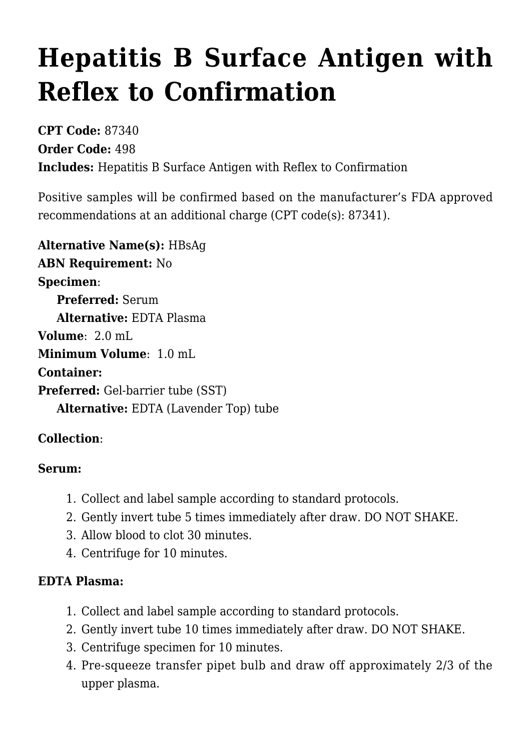# **[Hepatitis B Surface Antigen with](https://www.clevelandheartlab.com/tests/hepatitis-b-surface-antigen-with-reflex-to-confirmation/) [Reflex to Confirmation](https://www.clevelandheartlab.com/tests/hepatitis-b-surface-antigen-with-reflex-to-confirmation/)**

**CPT Code:** 87340 **Order Code:** 498 **Includes:** Hepatitis B Surface Antigen with Reflex to Confirmation

Positive samples will be confirmed based on the manufacturer's FDA approved recommendations at an additional charge (CPT code(s): 87341).

**Alternative Name(s):** HBsAg **ABN Requirement:** No **Specimen**:  **Preferred:** Serum  **Alternative:** EDTA Plasma **Volume**: 2.0 mL **Minimum Volume**: 1.0 mL **Container: Preferred:** Gel-barrier tube (SST)  **Alternative:** EDTA (Lavender Top) tube

## **Collection**:

#### **Serum:**

- 1. Collect and label sample according to standard protocols.
- 2. Gently invert tube 5 times immediately after draw. DO NOT SHAKE.
- 3. Allow blood to clot 30 minutes.
- 4. Centrifuge for 10 minutes.

## **EDTA Plasma:**

- 1. Collect and label sample according to standard protocols.
- 2. Gently invert tube 10 times immediately after draw. DO NOT SHAKE.
- 3. Centrifuge specimen for 10 minutes.
- 4. Pre-squeeze transfer pipet bulb and draw off approximately 2/3 of the upper plasma.